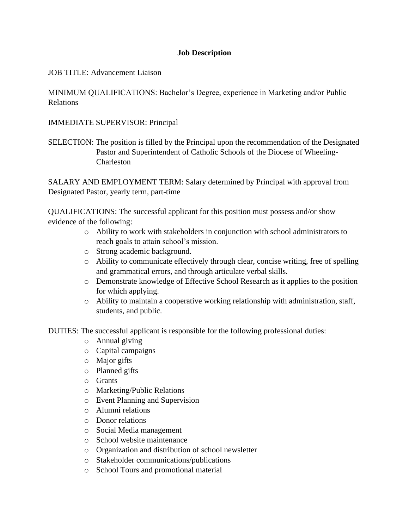## **Job Description**

## JOB TITLE: Advancement Liaison

MINIMUM QUALIFICATIONS: Bachelor's Degree, experience in Marketing and/or Public Relations

## IMMEDIATE SUPERVISOR: Principal

SELECTION: The position is filled by the Principal upon the recommendation of the Designated Pastor and Superintendent of Catholic Schools of the Diocese of Wheeling-Charleston

SALARY AND EMPLOYMENT TERM: Salary determined by Principal with approval from Designated Pastor, yearly term, part-time

QUALIFICATIONS: The successful applicant for this position must possess and/or show evidence of the following:

- o Ability to work with stakeholders in conjunction with school administrators to reach goals to attain school's mission.
- o Strong academic background.
- o Ability to communicate effectively through clear, concise writing, free of spelling and grammatical errors, and through articulate verbal skills.
- o Demonstrate knowledge of Effective School Research as it applies to the position for which applying.
- o Ability to maintain a cooperative working relationship with administration, staff, students, and public.

DUTIES: The successful applicant is responsible for the following professional duties:

- o Annual giving
- o Capital campaigns
- o Major gifts
- o Planned gifts
- o Grants
- o Marketing/Public Relations
- o Event Planning and Supervision
- o Alumni relations
- o Donor relations
- o Social Media management
- o School website maintenance
- o Organization and distribution of school newsletter
- o Stakeholder communications/publications
- o School Tours and promotional material